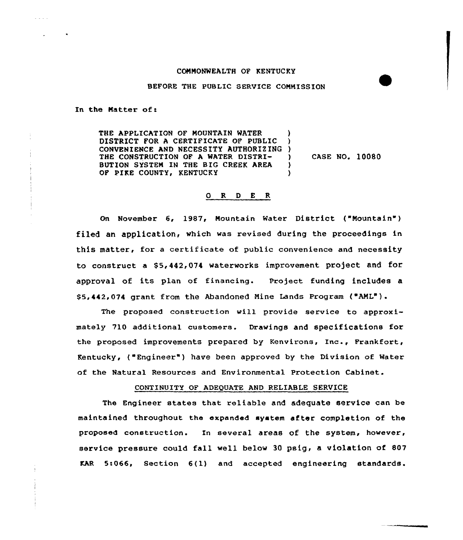#### COMMONMEALTH OF KENTUCKY

## BEFORE THE PUBLIC SERVICE COMMISSION

In the Matter of:

THE APPLICATION OF MOUNTAIN WATER DISTRICT FOR A CERTIFICATE OF PUBLIC CONVENIENCE AND NECESSITY AUTHORIZING THE CONSTRUCTION OF A WATER DISTRI-BUTION SYSTEM IN THE BIG CREEK AREA OF PIKE COUNTY, KENTUCKY ) ) ) CASE NO. 10080 ) )

## 0 R <sup>D</sup> E R

On November 6, 1987, Mountain Water District ("Mountain") filed an application, which was revised during the proceedings in this matter, for <sup>a</sup> certificate of public convenience and necessity to construct a \$5,442,074 waterworks improvement project and for approval of its plan of financing. Project funding includes a \$5,442,074 grant from the Abandoned Mine Lands Program ("AML").

The proposed construction will provide service to approximately 710 additional customers. Drawings and specifications for the proposed improvements prepared by Kenvirons, Xnc., Frankfort, Kentucky, ("Engineer" ) have been approved by the Division of Mater of the Natural Resources and Environmental Protection Cabinet.

# CONTINUITY OF ADEQUATE AND RELIABLE SERVICE

The Engineer states that reliable and adequate service can be maintained throughout the expanded system after completion of the proposed construction. In several areas of the system, however, service pressure could fall well below <sup>30</sup> psig, a violation of 807 KAR 5:066, Section 6(1) and accepted engineering standards.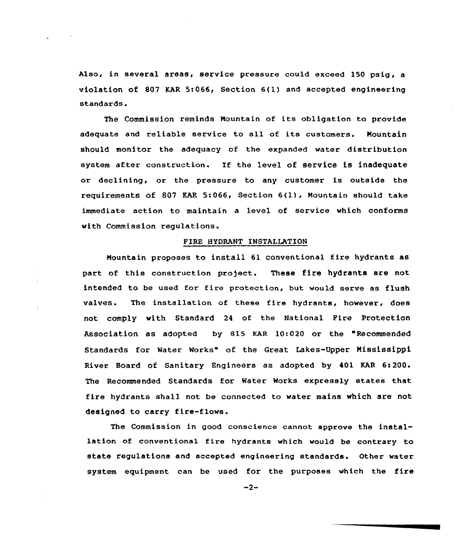Also, in several areas, service pressure could exceed 150 psig, a violation of 807 KAR 5:066, Section 6(1) and accepted engineering standards.

The Commission reminds Mountain of its obligation to provide adequate and reliable service to all of its customers. Mountain should monitor the adequacy of the expanded water distribution system after construction. If the level of service is inadequate or declining, or the pressure to any customer is outside the requirements of 807 KAR 5:066, Section 6(1), Mountain should take immediate action to maintain a level of service which conforms with Commission regulations.

# FIRE HYDRANT INSTALLATION

Mountain proposes to install 61 conventional fire hydrants as part of this construction project. These fire hydrants are not intended to be used for fire protection, but would serve as flush valves. The installation of these fire hydrants, however, does not comply with Standard 24 of the National Pire Protection Association as adopted by 815 KAR 10:020 or the "Recommended Standards for Water Works" of the Great Lakes-Upper Mississippi River Board of Sanitary Engineers as adopted by 401 KAR 6:200. The Recommended Standards for Water Morks expressly states that fire hydrants shall not be connected to water mains which are not designed to carry fire-flows.

The Commission in good conscience cannot approve the installation of conventiona1 fire hydrants which would be contrary to state regulations and accepted engineering standards. Other water system equipment can be used for the purposes which the fire

 $-2-$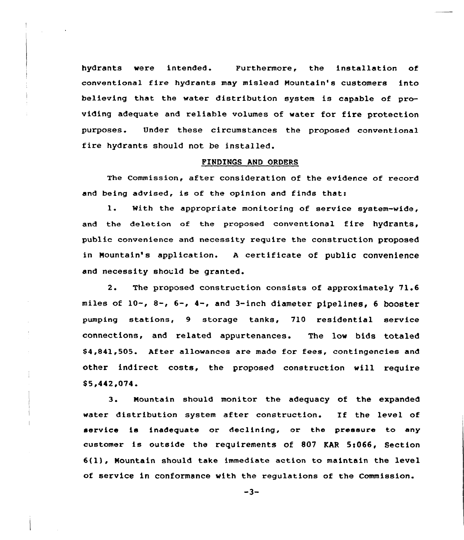hydrants were intended. Furthermore, the installation of conventional fire hydrants may mislead Nountain's customers into believing that the water distribution system is capable of providing adequate and reliable volumes of water for fire protection purposes. Under these circumstances the proposed conventional fire hydrants should not be installed.

## FINDINGS AND ORDERS

The Commission, after consideration of the evidence of record and being advised, is of the opinion and finds thats

1. With the appropriate monitoring of service system-vide, and the deletion of the proposed conventional fire hydrants, public convenience and necessity require the construction proposed in Nountain's application. <sup>A</sup> certificate of public convenience and necessity should be granted.

2. The proposed construction consists of approximately 71.6 miles of 10-, 8-, 6-, 4-, and 3-inch diameter pipelines, <sup>6</sup> booster pumping stations, 9 storage tanks, 710 residential service connections, and related appurtenances. The low bids totaled \$4,841,505. After allowances are made for fees, contingencies and other indirect costs, the proposed construction will require \$ 5.442.074.

 $3.$ Mountain should monitor the adequacy of the expanded water distribution system after construction. If the level of service is inadequate or declining, or the pressure to any customer is outside the requirements of 807 KAR 5!066, Section 6(lj, Mountain should take immediate action to maintain the level of service in conformance with the regulations of the Commission.

 $-3-$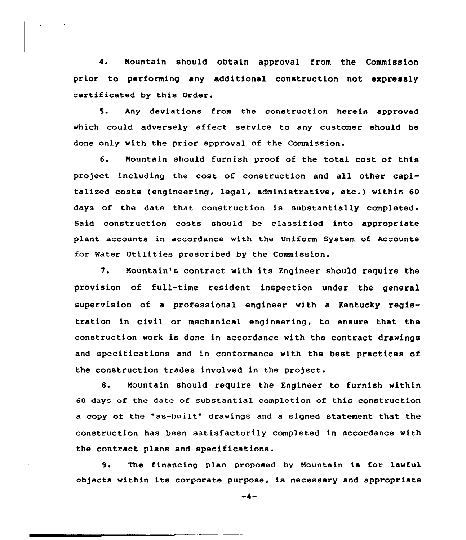4. Mountain should obtain approval from the Commission prior to performing any additional construction not expressly certificated by this Order.

5. Any deviations from the construction herein approved which could adversely affect service to any customer should be done only with the prior approval of the Commission.

6. Mountain should furnish proof of the total cost of this project including the cost of construction and all other capitalized costs (engineering, legal, administrative, etc.) within <sup>60</sup> days of the date that construction is substantially completed. Said construction costs should be classified into appropriate plant accounts in accordance with the Uniform System of Accounts for Water Utilities prescribed by the Commission.

7. Mountain's contract with its Engineer should require the provision of full-time resident inspection under the general supervision of a professional engineer with a Kentucky registration in civil or mechanical engineering, to ensure that the construction work is done in accordance with the contract drawings and specifications and in conformance with the best practices of the construction trades involved in the pro)ect.

8. Mountain should require the Engineer to furnish within 60 days of the date of substantial completion of this construction a copy of the "as-built" drawings and <sup>a</sup> signed statement that the construction has been satisfactorily completed in accordance with the contract plans and specifications.

9. The financing plan proposed by Mountain is for lawful ob5ects within its corporate purpose, is necessary and appropriate

 $-4-$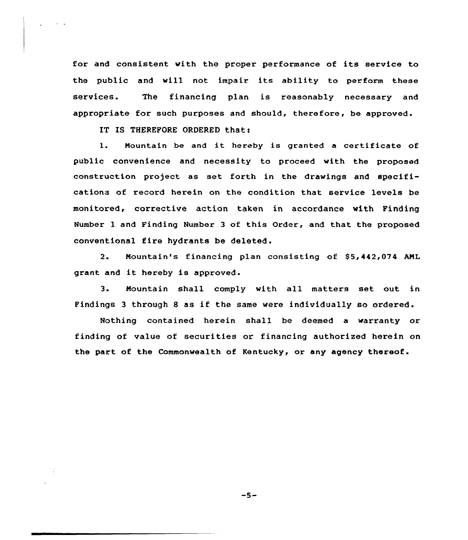for and consistent with the proper performance of its service to the public and will not impair its ability to perform these services. The financing plan is reasonably necessary and appropriate for such purposes and should, therefore, be approved.

IT IS THEREFORE ORDERED that:

1. Nountain be and it hereby is granted <sup>a</sup> certificate of public convenience and necessity to proceed with the proposed construction project as set forth in the drawings and specifications of record herein on the condition that service levels be monitored, corrective action taken in accordance with Finding Number l and Finding Number 3 of this Order, and that the proposed conventional fire hydrants be deleted.

2. Mountain's financing plan consisting of \$5,442,074 AML grant and it hereby is approved.

3. Nountain shall comply with all matters set out in Findings <sup>3</sup> through <sup>8</sup> as if the same were individually so ordered.

Nothing contained herein shall be deemed a warranty or finding of value of securities or financing authorized herein on the part of the Commonwealth of Kentucky, or any agency thereof.

 $-5-$